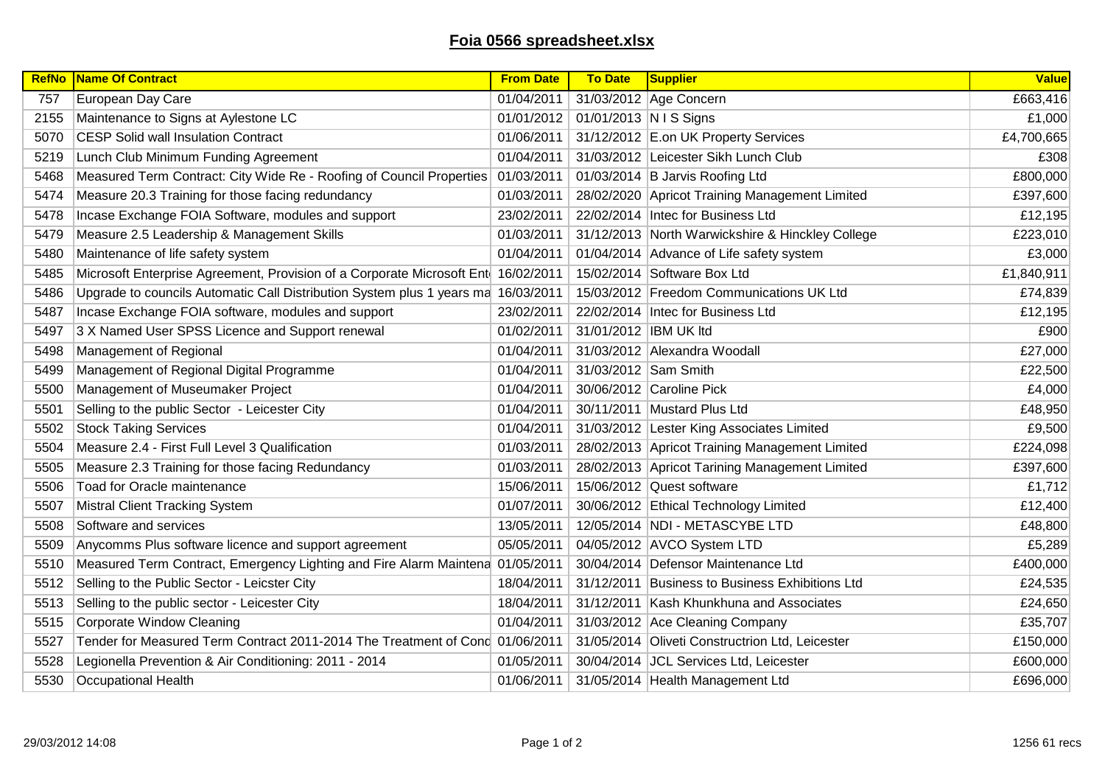## **Foia 0566 spreadsheet.xlsx**

| <b>RefNo</b> | Name Of Contract                                                                  | <b>From Date</b> | <b>To Date</b>         | Supplier                                         | <b>Value</b> |
|--------------|-----------------------------------------------------------------------------------|------------------|------------------------|--------------------------------------------------|--------------|
| 757          | European Day Care                                                                 | 01/04/2011       |                        | 31/03/2012 Age Concern                           | £663,416     |
| 2155         | Maintenance to Signs at Aylestone LC                                              | 01/01/2012       | 01/01/2013 N I S Signs |                                                  | £1,000       |
| 5070         | <b>CESP Solid wall Insulation Contract</b>                                        | 01/06/2011       |                        | 31/12/2012 E.on UK Property Services             | £4,700,665   |
| 5219         | Lunch Club Minimum Funding Agreement                                              | 01/04/2011       |                        | 31/03/2012 Leicester Sikh Lunch Club             | £308         |
| 5468         | Measured Term Contract: City Wide Re - Roofing of Council Properties              | 01/03/2011       |                        | 01/03/2014 B Jarvis Roofing Ltd                  | £800,000     |
| 5474         | Measure 20.3 Training for those facing redundancy                                 | 01/03/2011       |                        | 28/02/2020 Apricot Training Management Limited   | £397,600     |
| 5478         | Incase Exchange FOIA Software, modules and support                                | 23/02/2011       |                        | 22/02/2014   Intec for Business Ltd              | £12,195      |
| 5479         | Measure 2.5 Leadership & Management Skills                                        | 01/03/2011       |                        | 31/12/2013 North Warwickshire & Hinckley College | £223,010     |
| 5480         | Maintenance of life safety system                                                 | 01/04/2011       |                        | 01/04/2014 Advance of Life safety system         | £3,000       |
| 5485         | Microsoft Enterprise Agreement, Provision of a Corporate Microsoft Ent 16/02/2011 |                  |                        | 15/02/2014 Software Box Ltd                      | £1,840,911   |
| 5486         | Upgrade to councils Automatic Call Distribution System plus 1 years ma 16/03/2011 |                  |                        | 15/03/2012 Freedom Communications UK Ltd         | £74,839      |
| 5487         | Incase Exchange FOIA software, modules and support                                | 23/02/2011       |                        | 22/02/2014   Intec for Business Ltd              | £12,195      |
| 5497         | 3 X Named User SPSS Licence and Support renewal                                   | 01/02/2011       | 31/01/2012 IBM UK Itd  |                                                  | £900         |
| 5498         | Management of Regional                                                            | 01/04/2011       |                        | 31/03/2012 Alexandra Woodall                     | £27,000      |
| 5499         | Management of Regional Digital Programme                                          | 01/04/2011       | 31/03/2012 Sam Smith   |                                                  | £22,500      |
| 5500         | Management of Museumaker Project                                                  | 01/04/2011       |                        | 30/06/2012 Caroline Pick                         | £4,000       |
| 5501         | Selling to the public Sector - Leicester City                                     | 01/04/2011       |                        | 30/11/2011 Mustard Plus Ltd                      | £48,950      |
| 5502         | <b>Stock Taking Services</b>                                                      | 01/04/2011       |                        | 31/03/2012 Lester King Associates Limited        | £9,500       |
| 5504         | Measure 2.4 - First Full Level 3 Qualification                                    | 01/03/2011       |                        | 28/02/2013 Apricot Training Management Limited   | £224,098     |
| 5505         | Measure 2.3 Training for those facing Redundancy                                  | 01/03/2011       |                        | 28/02/2013 Apricot Tarining Management Limited   | £397,600     |
| 5506         | Toad for Oracle maintenance                                                       | 15/06/2011       |                        | 15/06/2012 Quest software                        | £1,712       |
| 5507         | Mistral Client Tracking System                                                    | 01/07/2011       |                        | 30/06/2012 Ethical Technology Limited            | £12,400      |
| 5508         | Software and services                                                             | 13/05/2011       |                        | 12/05/2014 NDI - METASCYBE LTD                   | £48,800      |
| 5509         | Anycomms Plus software licence and support agreement                              | 05/05/2011       |                        | 04/05/2012 AVCO System LTD                       | £5,289       |
| 5510         | Measured Term Contract, Emergency Lighting and Fire Alarm Maintena 01/05/2011     |                  |                        | 30/04/2014 Defensor Maintenance Ltd              | £400,000     |
| 5512         | Selling to the Public Sector - Leicster City                                      | 18/04/2011       |                        | 31/12/2011 Business to Business Exhibitions Ltd  | £24,535      |
| 5513         | Selling to the public sector - Leicester City                                     | 18/04/2011       |                        | 31/12/2011 Kash Khunkhuna and Associates         | £24,650      |
| 5515         | <b>Corporate Window Cleaning</b>                                                  | 01/04/2011       |                        | 31/03/2012 Ace Cleaning Company                  | £35,707      |
| 5527         | Tender for Measured Term Contract 2011-2014 The Treatment of Conc 01/06/2011      |                  |                        | 31/05/2014 Oliveti Constructrion Ltd, Leicester  | £150,000     |
| 5528         | Legionella Prevention & Air Conditioning: 2011 - 2014                             | 01/05/2011       |                        | 30/04/2014 JCL Services Ltd, Leicester           | £600,000     |
| 5530         | <b>Occupational Health</b>                                                        | 01/06/2011       |                        | 31/05/2014 Health Management Ltd                 | £696,000     |